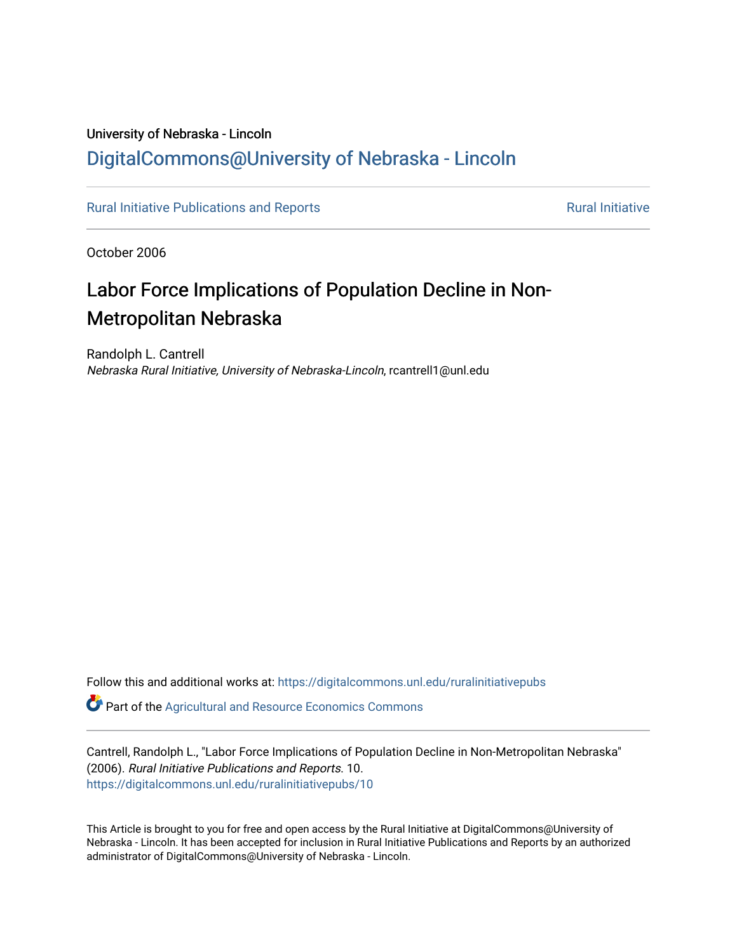## University of Nebraska - Lincoln [DigitalCommons@University of Nebraska - Lincoln](https://digitalcommons.unl.edu/)

[Rural Initiative Publications and Reports](https://digitalcommons.unl.edu/ruralinitiativepubs) **[Rural Initiative](https://digitalcommons.unl.edu/rural_initiative) Rural Initiative** Rural Initiative

October 2006

# Labor Force Implications of Population Decline in Non-Metropolitan Nebraska

Randolph L. Cantrell Nebraska Rural Initiative, University of Nebraska-Lincoln, rcantrell1@unl.edu

Follow this and additional works at: [https://digitalcommons.unl.edu/ruralinitiativepubs](https://digitalcommons.unl.edu/ruralinitiativepubs?utm_source=digitalcommons.unl.edu%2Fruralinitiativepubs%2F10&utm_medium=PDF&utm_campaign=PDFCoverPages) 

**P** Part of the Agricultural and Resource Economics Commons

Cantrell, Randolph L., "Labor Force Implications of Population Decline in Non-Metropolitan Nebraska" (2006). Rural Initiative Publications and Reports. 10. [https://digitalcommons.unl.edu/ruralinitiativepubs/10](https://digitalcommons.unl.edu/ruralinitiativepubs/10?utm_source=digitalcommons.unl.edu%2Fruralinitiativepubs%2F10&utm_medium=PDF&utm_campaign=PDFCoverPages)

This Article is brought to you for free and open access by the Rural Initiative at DigitalCommons@University of Nebraska - Lincoln. It has been accepted for inclusion in Rural Initiative Publications and Reports by an authorized administrator of DigitalCommons@University of Nebraska - Lincoln.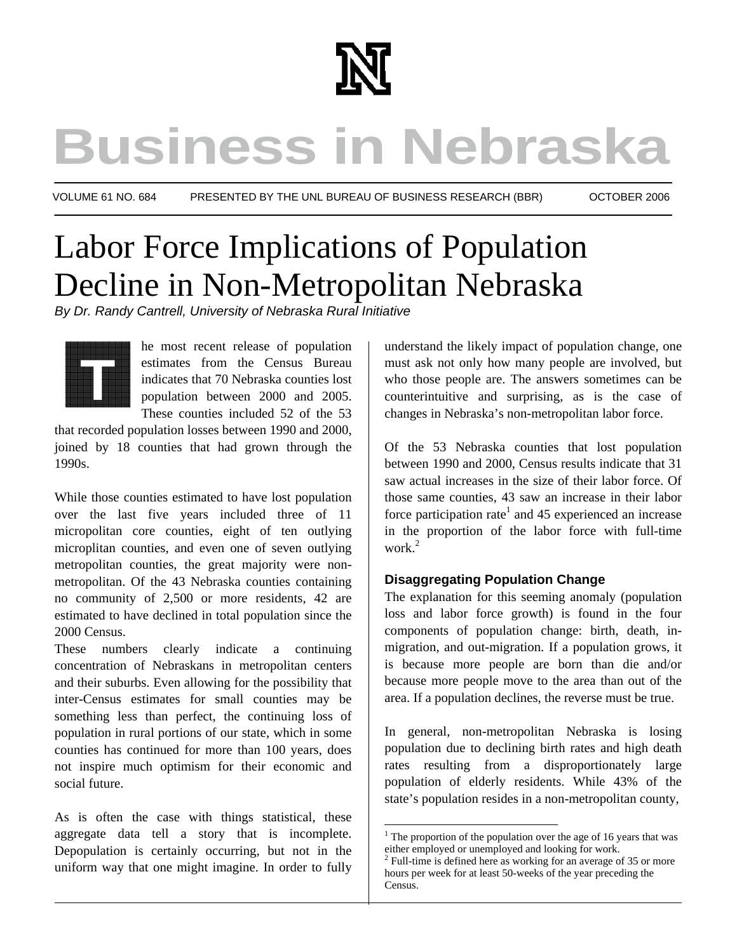

# **Business in Nebraska**

VOLUME 61 NO. 684 PRESENTED BY THE UNL BUREAU OF BUSINESS RESEARCH (BBR) OCTOBER 2006

 $\overline{a}$ 

# Labor Force Implications of Population Decline in Non-Metropolitan Nebraska

*By Dr. Randy Cantrell, University of Nebraska Rural Initiative* 



he most recent release of population estimates from the Census Bureau indicates that 70 Nebraska counties lost population between 2000 and 2005. These counties included 52 of the 53

that recorded population losses between 1990 and 2000, joined by 18 counties that had grown through the 1990s.

While those counties estimated to have lost population over the last five years included three of 11 micropolitan core counties, eight of ten outlying microplitan counties, and even one of seven outlying metropolitan counties, the great majority were nonmetropolitan. Of the 43 Nebraska counties containing no community of 2,500 or more residents, 42 are estimated to have declined in total population since the 2000 Census.

These numbers clearly indicate a continuing concentration of Nebraskans in metropolitan centers and their suburbs. Even allowing for the possibility that inter-Census estimates for small counties may be something less than perfect, the continuing loss of population in rural portions of our state, which in some counties has continued for more than 100 years, does not inspire much optimism for their economic and social future.

As is often the case with things statistical, these aggregate data tell a story that is incomplete. Depopulation is certainly occurring, but not in the uniform way that one might imagine. In order to fully

understand the likely impact of population change, one must ask not only how many people are involved, but who those people are. The answers sometimes can be counterintuitive and surprising, as is the case of changes in Nebraska's non-metropolitan labor force.

Of the 53 Nebraska counties that lost population between 1990 and 2000, Census results indicate that 31 saw actual increases in the size of their labor force. Of those same counties, 43 saw an increase in their labor force participation rate<sup>1</sup> and 45 experienced an increase in the proportion of the labor force with full-time work.<sup>2</sup>

#### **Disaggregating Population Change**

The explanation for this seeming anomaly (population loss and labor force growth) is found in the four components of population change: birth, death, inmigration, and out-migration. If a population grows, it is because more people are born than die and/or because more people move to the area than out of the area. If a population declines, the reverse must be true.

In general, non-metropolitan Nebraska is losing population due to declining birth rates and high death rates resulting from a disproportionately large population of elderly residents. While 43% of the state's population resides in a non-metropolitan county,

 $<sup>1</sup>$  The proportion of the population over the age of 16 years that was</sup> either employed or unemployed and looking for work.

<sup>2</sup> Full-time is defined here as working for an average of 35 or more hours per week for at least 50-weeks of the year preceding the Census.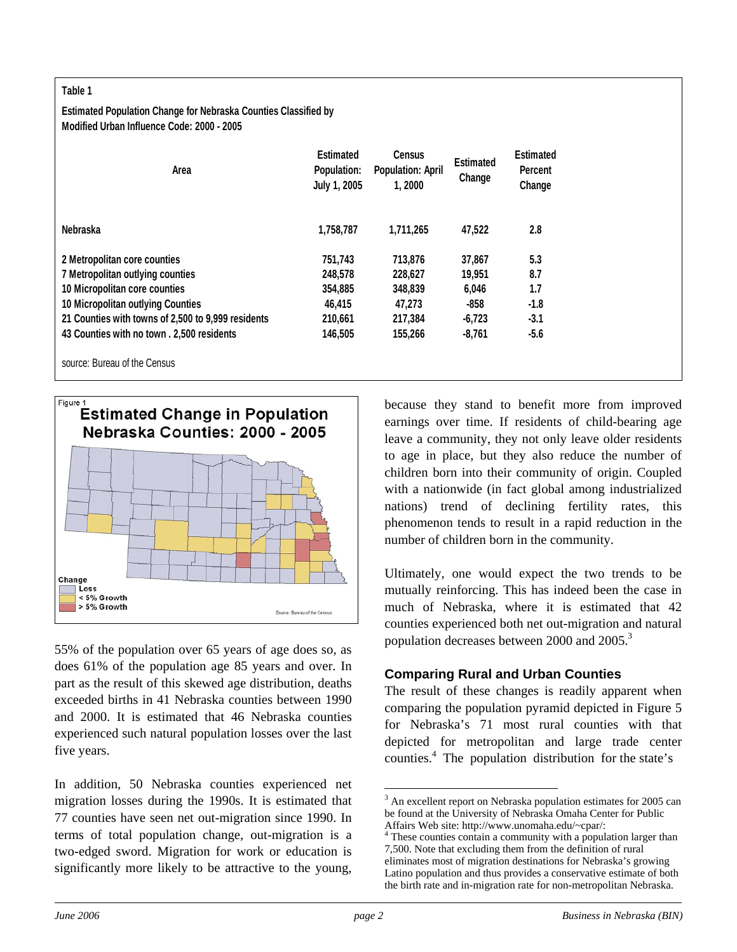#### **Table 1**

#### **Estimated Population Change for Nebraska Counties Classified by Modified Urban Influence Code: 2000 - 2005**

| Area                                               | <b>Estimated</b><br>Population:<br>July 1, 2005 | <b>Census</b><br><b>Population: April</b><br>1,2000 | <b>Estimated</b><br>Change | <b>Estimated</b><br><b>Percent</b><br>Change |
|----------------------------------------------------|-------------------------------------------------|-----------------------------------------------------|----------------------------|----------------------------------------------|
| Nebraska                                           | 1,758,787                                       | 1.711.265                                           | 47,522                     | 2.8                                          |
| 2 Metropolitan core counties                       | 751,743                                         | 713,876                                             | 37,867                     | 5.3                                          |
| 7 Metropolitan outlying counties                   | 248.578                                         | 228.627                                             | 19.951                     | 8.7                                          |
| 10 Micropolitan core counties                      | 354,885                                         | 348,839                                             | 6,046                      | 1.7                                          |
| <b>10 Micropolitan outlying Counties</b>           | 46.415                                          | 47.273                                              | -858                       | $-1.8$                                       |
| 21 Counties with towns of 2,500 to 9,999 residents | 210,661                                         | 217,384                                             | $-6,723$                   | $-3.1$                                       |
| 43 Counties with no town, 2,500 residents          | 146,505                                         | 155.266                                             | $-8,761$                   | $-5.6$                                       |
| source: Bureau of the Census                       |                                                 |                                                     |                            |                                              |



55% of the population over 65 years of age does so, as does 61% of the population age 85 years and over. In part as the result of this skewed age distribution, deaths exceeded births in 41 Nebraska counties between 1990 and 2000. It is estimated that 46 Nebraska counties experienced such natural population losses over the last five years.

In addition, 50 Nebraska counties experienced net migration losses during the 1990s. It is estimated that 77 counties have seen net out-migration since 1990. In terms of total population change, out-migration is a two-edged sword. Migration for work or education is significantly more likely to be attractive to the young,

because they stand to benefit more from improved earnings over time. If residents of child-bearing age leave a community, they not only leave older residents to age in place, but they also reduce the number of children born into their community of origin. Coupled with a nationwide (in fact global among industrialized nations) trend of declining fertility rates, this phenomenon tends to result in a rapid reduction in the number of children born in the community.

Ultimately, one would expect the two trends to be mutually reinforcing. This has indeed been the case in much of Nebraska, where it is estimated that 42 counties experienced both net out-migration and natural population decreases between 2000 and 2005.3

#### **Comparing Rural and Urban Counties**

The result of these changes is readily apparent when comparing the population pyramid depicted in Figure 5 for Nebraska's 71 most rural counties with that depicted for metropolitan and large trade center counties.<sup>4</sup> The population distribution for the state's

<sup>&</sup>lt;sup>3</sup> An excellent report on Nebraska population estimates for 2005 can be found at the University of Nebraska Omaha Center for Public Affairs Web site: http://www.unomaha.edu/~cpar/: 4

<sup>&</sup>lt;sup>4</sup> These counties contain a community with a population larger than 7,500. Note that excluding them from the definition of rural eliminates most of migration destinations for Nebraska's growing Latino population and thus provides a conservative estimate of both the birth rate and in-migration rate for non-metropolitan Nebraska.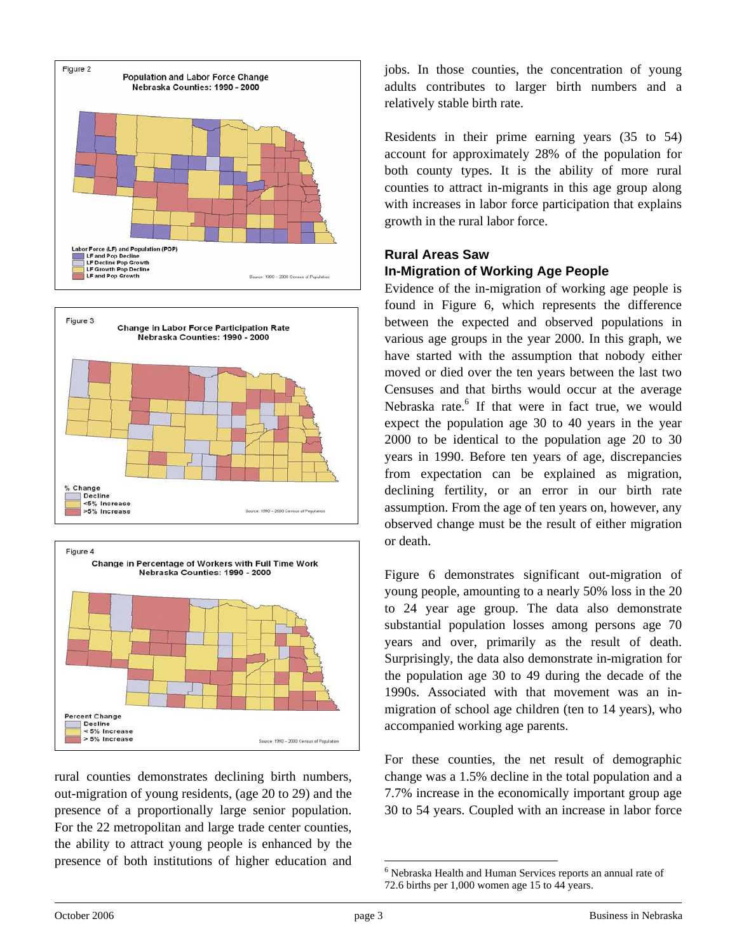





rural counties demonstrates declining birth numbers, out-migration of young residents, (age 20 to 29) and the presence of a proportionally large senior population. For the 22 metropolitan and large trade center counties, the ability to attract young people is enhanced by the presence of both institutions of higher education and

jobs. In those counties, the concentration of young adults contributes to larger birth numbers and a relatively stable birth rate.

Residents in their prime earning years (35 to 54) account for approximately 28% of the population for both county types. It is the ability of more rural counties to attract in-migrants in this age group along with increases in labor force participation that explains growth in the rural labor force.

#### **Rural Areas Saw In-Migration of Working Age People**

Evidence of the in-migration of working age people is found in Figure 6, which represents the difference between the expected and observed populations in various age groups in the year 2000. In this graph, we have started with the assumption that nobody either moved or died over the ten years between the last two Censuses and that births would occur at the average Nebraska rate.<sup>6</sup> If that were in fact true, we would expect the population age 30 to 40 years in the year 2000 to be identical to the population age 20 to 30 years in 1990. Before ten years of age, discrepancies from expectation can be explained as migration, declining fertility, or an error in our birth rate assumption. From the age of ten years on, however, any observed change must be the result of either migration or death.

Figure 6 demonstrates significant out-migration of young people, amounting to a nearly 50% loss in the 20 to 24 year age group. The data also demonstrate substantial population losses among persons age 70 years and over, primarily as the result of death. Surprisingly, the data also demonstrate in-migration for the population age 30 to 49 during the decade of the 1990s. Associated with that movement was an inmigration of school age children (ten to 14 years), who accompanied working age parents.

For these counties, the net result of demographic change was a 1.5% decline in the total population and a 7.7% increase in the economically important group age 30 to 54 years. Coupled with an increase in labor force

 6 Nebraska Health and Human Services reports an annual rate of 72.6 births per 1,000 women age 15 to 44 years.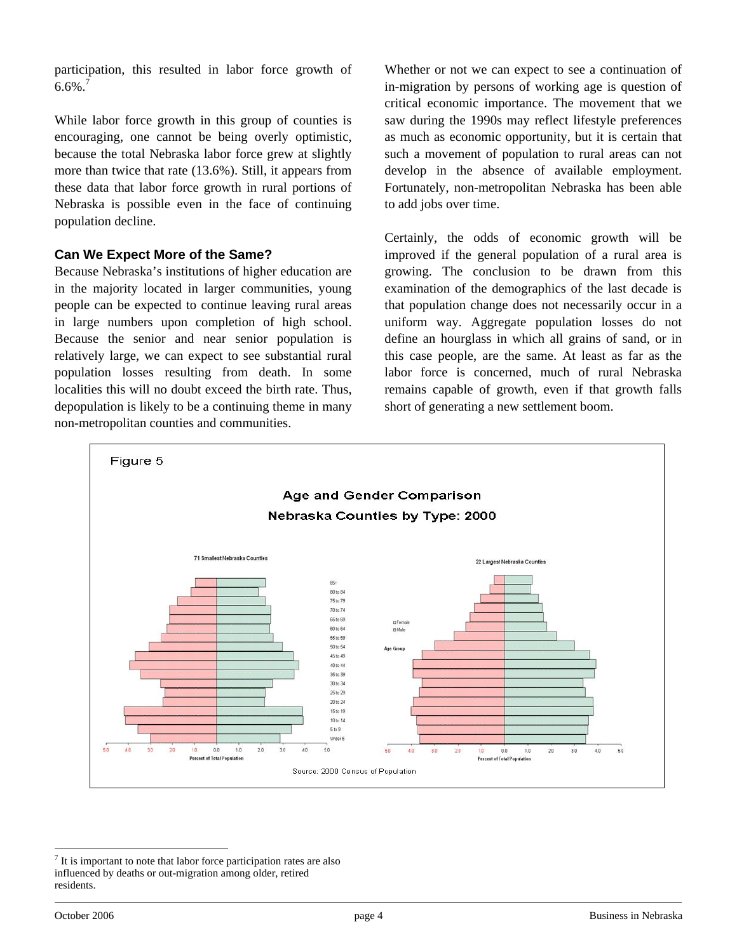participation, this resulted in labor force growth of  $6.6\%$ .<sup>7</sup>

While labor force growth in this group of counties is encouraging, one cannot be being overly optimistic, because the total Nebraska labor force grew at slightly more than twice that rate (13.6%). Still, it appears from these data that labor force growth in rural portions of Nebraska is possible even in the face of continuing population decline.

#### **Can We Expect More of the Same?**

Because Nebraska's institutions of higher education are in the majority located in larger communities, young people can be expected to continue leaving rural areas in large numbers upon completion of high school. Because the senior and near senior population is relatively large, we can expect to see substantial rural population losses resulting from death. In some localities this will no doubt exceed the birth rate. Thus, depopulation is likely to be a continuing theme in many non-metropolitan counties and communities.

Whether or not we can expect to see a continuation of in-migration by persons of working age is question of critical economic importance. The movement that we saw during the 1990s may reflect lifestyle preferences as much as economic opportunity, but it is certain that such a movement of population to rural areas can not develop in the absence of available employment. Fortunately, non-metropolitan Nebraska has been able to add jobs over time.

Certainly, the odds of economic growth will be improved if the general population of a rural area is growing. The conclusion to be drawn from this examination of the demographics of the last decade is that population change does not necessarily occur in a uniform way. Aggregate population losses do not define an hourglass in which all grains of sand, or in this case people, are the same. At least as far as the labor force is concerned, much of rural Nebraska remains capable of growth, even if that growth falls short of generating a new settlement boom.



<sup>1</sup>  $<sup>7</sup>$  It is important to note that labor force participation rates are also</sup> influenced by deaths or out-migration among older, retired residents.